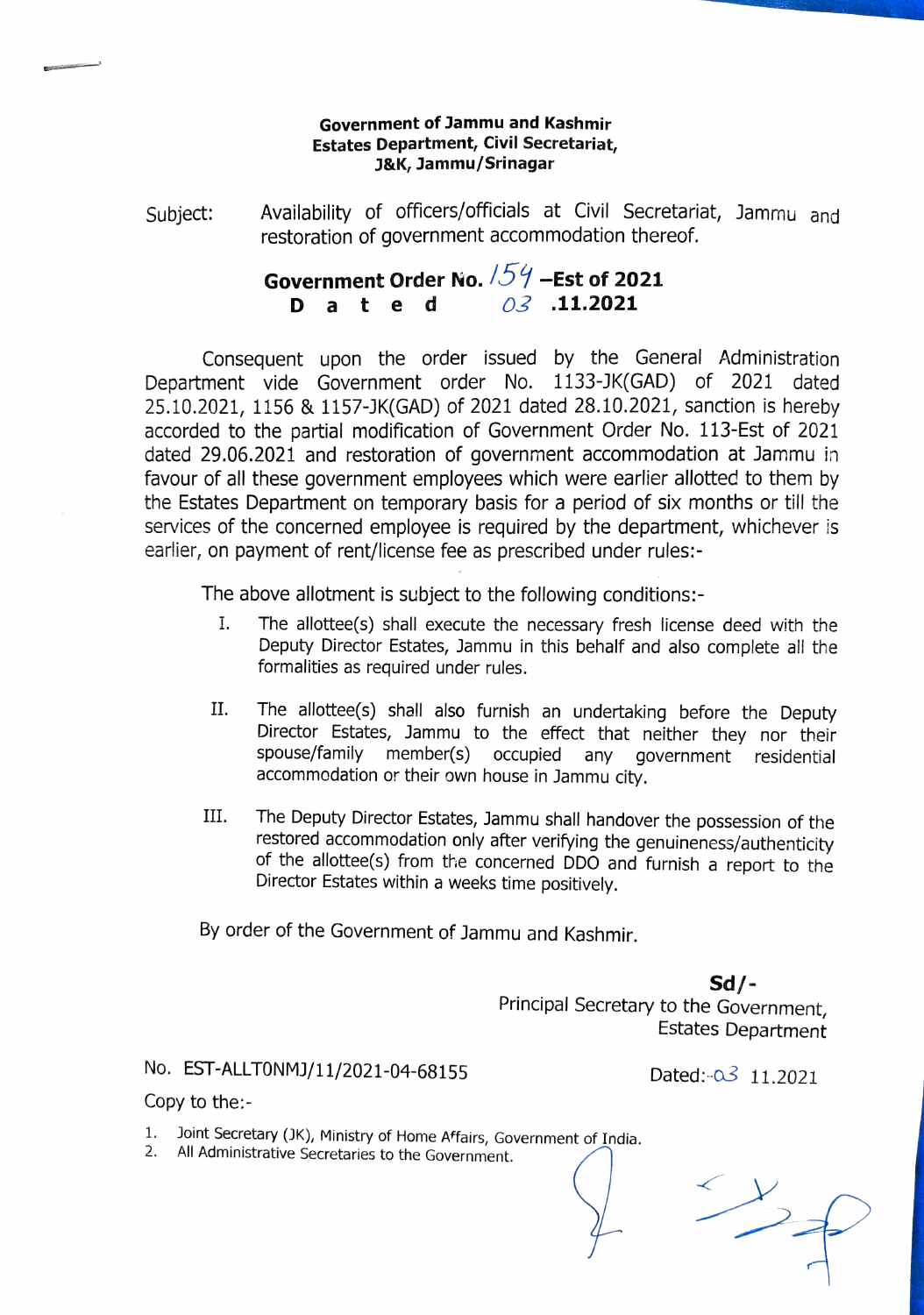## Government of Jammu and Kashmir Estates Department, Civil Secretariat, J&K, Jammu/Srinagar

Availability of officers/officials at Civil Secretariat, Jammu and Subject: Availability of officers/officials at Civil Secretaria<br>restoration of government accommodation thereof.

## Government Order No.  $/54$  -Est of 2021 D a t e d  $\frac{\partial 3}{\partial 1}$  .11.2021

Consequent upon the order issued by the General Administratior Department vide Government order No. 1133-JK(GAD) of 2021 dated 25.10.2021, 1156 & 1157-JK(GAD) of 2021 dated 28.10.2021, sanction is hereby accorded to the partial modification of Government Order No. 113-Est of 2021 dated 29.06.2021 and restoration of government accommodation at Jammu in favour of all these government employees which were earlier allotted to them by the Estates Department on temporary basis for a period of six months or till the services of the concerned employee is required by the department, whichever is earlier, on payment of rent/license fee as prescribed under rules:-

The above allotment is subject to the following conditions:-

- I. The allottee(s) shall execute the necessary fresh license deed with the Deputy Director Estates, Jammu in this behalf and also complete all the formalities as required under rules.
- II. The allottee(s) shall also furnish an undertaking before the Deputy Director Estates, Jammu to the effect that neither they nor their spouse/family member(s) OCcupied any government residential accommodation or their own house in Jammu city.
- The Deputy Director Estates, Jammu shall handover the possession of the restored accommodation only after verifying the genuineness/authenticity of the allottee(s) from the concerned DDO and furnish a report to the Director Estates within a weeks time positively. III.

By order of the Government of Jammu and Kashmir.

Sd/- Principal Secretary to the Government, Estates Department

No. EST-ALLT0NMJ/11/2021-04-68155 Dated:-03 11.2021

 $\rightarrow$ 

Copy to the:

- 1. Joint Secretary (JK), Ministry of Home Affairs, Government of India.<br>2. All Administrative Secretaries to the Government.
-